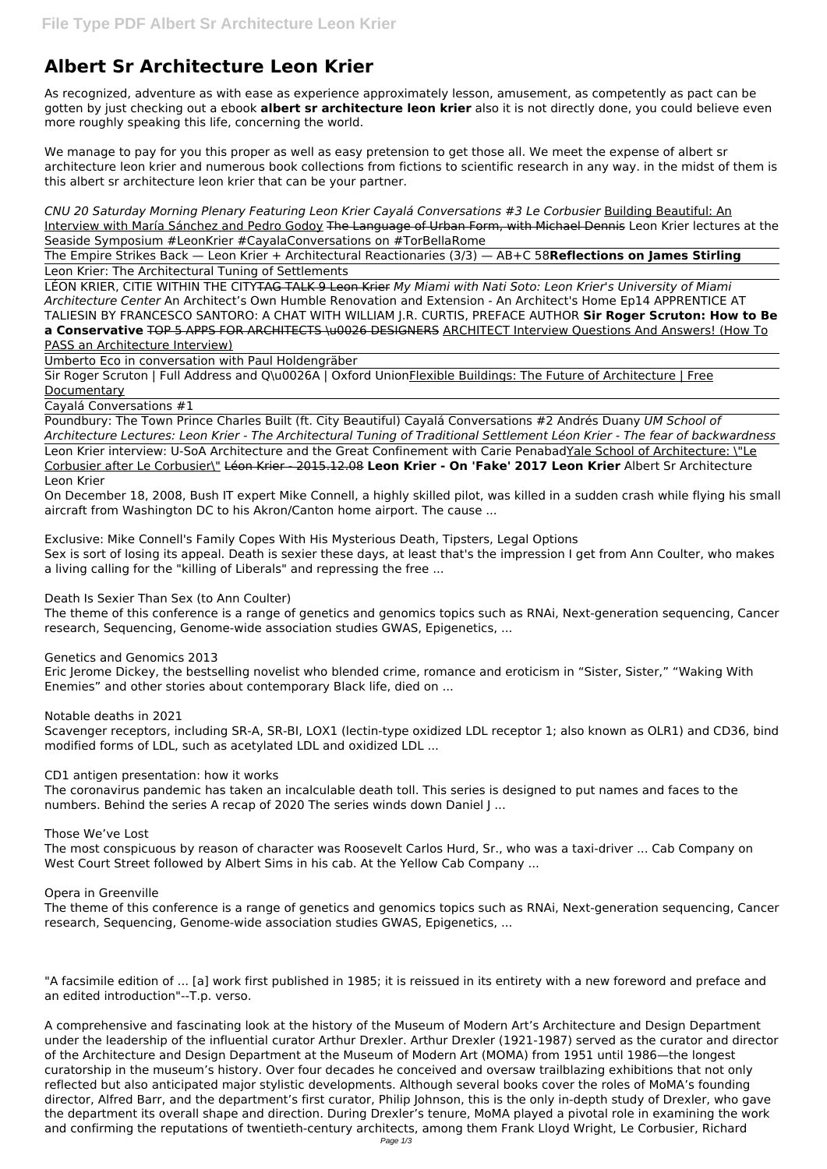# **Albert Sr Architecture Leon Krier**

As recognized, adventure as with ease as experience approximately lesson, amusement, as competently as pact can be gotten by just checking out a ebook **albert sr architecture leon krier** also it is not directly done, you could believe even more roughly speaking this life, concerning the world.

We manage to pay for you this proper as well as easy pretension to get those all. We meet the expense of albert sr architecture leon krier and numerous book collections from fictions to scientific research in any way. in the midst of them is this albert sr architecture leon krier that can be your partner.

*CNU 20 Saturday Morning Plenary Featuring Leon Krier Cayalá Conversations #3 Le Corbusier* Building Beautiful: An Interview with María Sánchez and Pedro Godoy The Language of Urban Form, with Michael Dennis Leon Krier lectures at the Seaside Symposium #LeonKrier #CayalaConversations on #TorBellaRome

Sir Roger Scruton | Full Address and Q\u0026A | Oxford UnionFlexible Buildings: The Future of Architecture | Free **Documentary** 

The Empire Strikes Back — Leon Krier + Architectural Reactionaries (3/3) — AB+C 58**Reflections on James Stirling** Leon Krier: The Architectural Tuning of Settlements

Leon Krier interview: U-SoA Architecture and the Great Confinement with Carie PenabadYale School of Architecture: \"Le Corbusier after Le Corbusier\" Léon Krier - 2015.12.08 **Leon Krier - On 'Fake' 2017 Leon Krier** Albert Sr Architecture Leon Krier

LÉON KRIER, CITIE WITHIN THE CITYTAG TALK 9 Leon Krier *My Miami with Nati Soto: Leon Krier's University of Miami Architecture Center* An Architect's Own Humble Renovation and Extension - An Architect's Home Ep14 APPRENTICE AT TALIESIN BY FRANCESCO SANTORO: A CHAT WITH WILLIAM J.R. CURTIS, PREFACE AUTHOR **Sir Roger Scruton: How to Be a Conservative** TOP 5 APPS FOR ARCHITECTS \u0026 DESIGNERS ARCHITECT Interview Questions And Answers! (How To

PASS an Architecture Interview)

Umberto Eco in conversation with Paul Holdengräber

Cayalá Conversations #1

Poundbury: The Town Prince Charles Built (ft. City Beautiful) Cayalá Conversations #2 Andrés Duany *UM School of Architecture Lectures: Leon Krier - The Architectural Tuning of Traditional Settlement Léon Krier - The fear of backwardness*

On December 18, 2008, Bush IT expert Mike Connell, a highly skilled pilot, was killed in a sudden crash while flying his small aircraft from Washington DC to his Akron/Canton home airport. The cause ...

Exclusive: Mike Connell's Family Copes With His Mysterious Death, Tipsters, Legal Options

Sex is sort of losing its appeal. Death is sexier these days, at least that's the impression I get from Ann Coulter, who makes a living calling for the "killing of Liberals" and repressing the free ...

Death Is Sexier Than Sex (to Ann Coulter)

The theme of this conference is a range of genetics and genomics topics such as RNAi, Next-generation sequencing, Cancer research, Sequencing, Genome-wide association studies GWAS, Epigenetics, ...

Genetics and Genomics 2013

Eric Jerome Dickey, the bestselling novelist who blended crime, romance and eroticism in "Sister, Sister," "Waking With Enemies" and other stories about contemporary Black life, died on ...

Notable deaths in 2021

Scavenger receptors, including SR-A, SR-BI, LOX1 (lectin-type oxidized LDL receptor 1; also known as OLR1) and CD36, bind modified forms of LDL, such as acetylated LDL and oxidized LDL ...

CD1 antigen presentation: how it works

The coronavirus pandemic has taken an incalculable death toll. This series is designed to put names and faces to the numbers. Behind the series A recap of 2020 The series winds down Daniel J ...

### Those We've Lost

The most conspicuous by reason of character was Roosevelt Carlos Hurd, Sr., who was a taxi-driver ... Cab Company on West Court Street followed by Albert Sims in his cab. At the Yellow Cab Company ...

#### Opera in Greenville

The theme of this conference is a range of genetics and genomics topics such as RNAi, Next-generation sequencing, Cancer research, Sequencing, Genome-wide association studies GWAS, Epigenetics, ...

"A facsimile edition of ... [a] work first published in 1985; it is reissued in its entirety with a new foreword and preface and an edited introduction"--T.p. verso.

A comprehensive and fascinating look at the history of the Museum of Modern Art's Architecture and Design Department under the leadership of the influential curator Arthur Drexler. Arthur Drexler (1921-1987) served as the curator and director of the Architecture and Design Department at the Museum of Modern Art (MOMA) from 1951 until 1986—the longest curatorship in the museum's history. Over four decades he conceived and oversaw trailblazing exhibitions that not only reflected but also anticipated major stylistic developments. Although several books cover the roles of MoMA's founding director, Alfred Barr, and the department's first curator, Philip Johnson, this is the only in-depth study of Drexler, who gave the department its overall shape and direction. During Drexler's tenure, MoMA played a pivotal role in examining the work and confirming the reputations of twentieth-century architects, among them Frank Lloyd Wright, Le Corbusier, Richard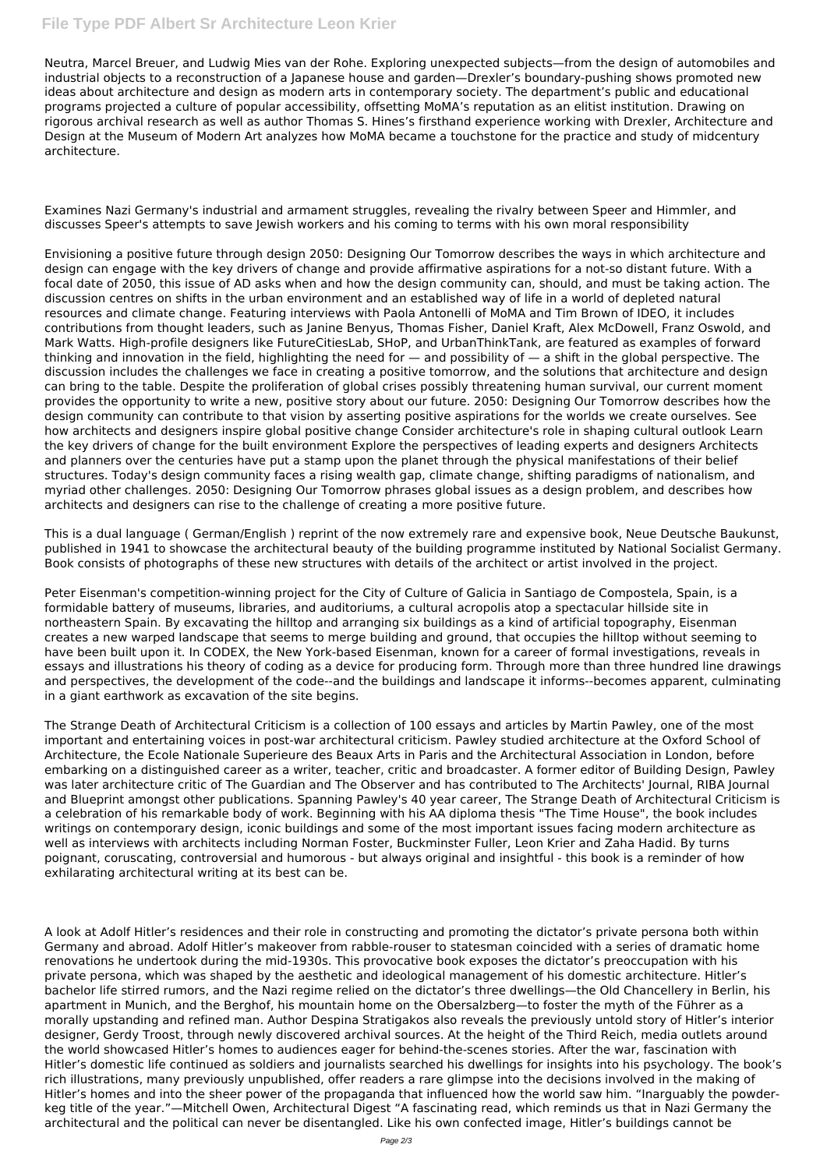Neutra, Marcel Breuer, and Ludwig Mies van der Rohe. Exploring unexpected subjects—from the design of automobiles and industrial objects to a reconstruction of a Japanese house and garden—Drexler's boundary-pushing shows promoted new ideas about architecture and design as modern arts in contemporary society. The department's public and educational programs projected a culture of popular accessibility, offsetting MoMA's reputation as an elitist institution. Drawing on rigorous archival research as well as author Thomas S. Hines's firsthand experience working with Drexler, Architecture and Design at the Museum of Modern Art analyzes how MoMA became a touchstone for the practice and study of midcentury architecture.

Examines Nazi Germany's industrial and armament struggles, revealing the rivalry between Speer and Himmler, and discusses Speer's attempts to save Jewish workers and his coming to terms with his own moral responsibility

Envisioning a positive future through design 2050: Designing Our Tomorrow describes the ways in which architecture and design can engage with the key drivers of change and provide affirmative aspirations for a not-so distant future. With a focal date of 2050, this issue of AD asks when and how the design community can, should, and must be taking action. The discussion centres on shifts in the urban environment and an established way of life in a world of depleted natural resources and climate change. Featuring interviews with Paola Antonelli of MoMA and Tim Brown of IDEO, it includes contributions from thought leaders, such as Janine Benyus, Thomas Fisher, Daniel Kraft, Alex McDowell, Franz Oswold, and Mark Watts. High-profile designers like FutureCitiesLab, SHoP, and UrbanThinkTank, are featured as examples of forward thinking and innovation in the field, highlighting the need for  $-$  and possibility of  $-$  a shift in the global perspective. The discussion includes the challenges we face in creating a positive tomorrow, and the solutions that architecture and design can bring to the table. Despite the proliferation of global crises possibly threatening human survival, our current moment provides the opportunity to write a new, positive story about our future. 2050: Designing Our Tomorrow describes how the design community can contribute to that vision by asserting positive aspirations for the worlds we create ourselves. See how architects and designers inspire global positive change Consider architecture's role in shaping cultural outlook Learn the key drivers of change for the built environment Explore the perspectives of leading experts and designers Architects and planners over the centuries have put a stamp upon the planet through the physical manifestations of their belief structures. Today's design community faces a rising wealth gap, climate change, shifting paradigms of nationalism, and myriad other challenges. 2050: Designing Our Tomorrow phrases global issues as a design problem, and describes how architects and designers can rise to the challenge of creating a more positive future.

This is a dual language ( German/English ) reprint of the now extremely rare and expensive book, Neue Deutsche Baukunst, published in 1941 to showcase the architectural beauty of the building programme instituted by National Socialist Germany. Book consists of photographs of these new structures with details of the architect or artist involved in the project.

Peter Eisenman's competition-winning project for the City of Culture of Galicia in Santiago de Compostela, Spain, is a formidable battery of museums, libraries, and auditoriums, a cultural acropolis atop a spectacular hillside site in northeastern Spain. By excavating the hilltop and arranging six buildings as a kind of artificial topography, Eisenman creates a new warped landscape that seems to merge building and ground, that occupies the hilltop without seeming to have been built upon it. In CODEX, the New York-based Eisenman, known for a career of formal investigations, reveals in essays and illustrations his theory of coding as a device for producing form. Through more than three hundred line drawings and perspectives, the development of the code--and the buildings and landscape it informs--becomes apparent, culminating in a giant earthwork as excavation of the site begins.

The Strange Death of Architectural Criticism is a collection of 100 essays and articles by Martin Pawley, one of the most important and entertaining voices in post-war architectural criticism. Pawley studied architecture at the Oxford School of Architecture, the Ecole Nationale Superieure des Beaux Arts in Paris and the Architectural Association in London, before embarking on a distinguished career as a writer, teacher, critic and broadcaster. A former editor of Building Design, Pawley was later architecture critic of The Guardian and The Observer and has contributed to The Architects' Journal, RIBA Journal and Blueprint amongst other publications. Spanning Pawley's 40 year career, The Strange Death of Architectural Criticism is a celebration of his remarkable body of work. Beginning with his AA diploma thesis "The Time House", the book includes writings on contemporary design, iconic buildings and some of the most important issues facing modern architecture as well as interviews with architects including Norman Foster, Buckminster Fuller, Leon Krier and Zaha Hadid. By turns poignant, coruscating, controversial and humorous - but always original and insightful - this book is a reminder of how exhilarating architectural writing at its best can be.

A look at Adolf Hitler's residences and their role in constructing and promoting the dictator's private persona both within Germany and abroad. Adolf Hitler's makeover from rabble-rouser to statesman coincided with a series of dramatic home renovations he undertook during the mid-1930s. This provocative book exposes the dictator's preoccupation with his private persona, which was shaped by the aesthetic and ideological management of his domestic architecture. Hitler's bachelor life stirred rumors, and the Nazi regime relied on the dictator's three dwellings—the Old Chancellery in Berlin, his apartment in Munich, and the Berghof, his mountain home on the Obersalzberg—to foster the myth of the Führer as a morally upstanding and refined man. Author Despina Stratigakos also reveals the previously untold story of Hitler's interior designer, Gerdy Troost, through newly discovered archival sources. At the height of the Third Reich, media outlets around the world showcased Hitler's homes to audiences eager for behind-the-scenes stories. After the war, fascination with Hitler's domestic life continued as soldiers and journalists searched his dwellings for insights into his psychology. The book's rich illustrations, many previously unpublished, offer readers a rare glimpse into the decisions involved in the making of Hitler's homes and into the sheer power of the propaganda that influenced how the world saw him. "Inarguably the powderkeg title of the year."—Mitchell Owen, Architectural Digest "A fascinating read, which reminds us that in Nazi Germany the architectural and the political can never be disentangled. Like his own confected image, Hitler's buildings cannot be